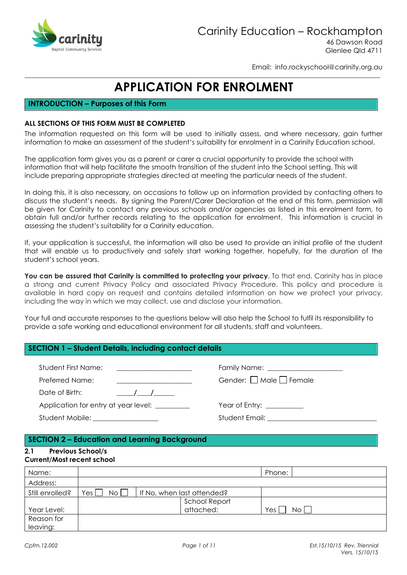

46 Dawson Road Glenlee Qld 4711

Email: info.rockyschool@carinity.org.au

# **APPLICATION FOR ENROLMENT**

## INTRODUCTION – Purposes of this Form

### ALL SECTIONS OF THIS FORM MUST BE COMPLETED

The information requested on this form will be used to initially assess, and where necessary, gain further information to make an assessment of the student's suitability for enrolment in a Carinity Education school.

The application form gives you as a parent or carer a crucial opportunity to provide the school with information that will help facilitate the smooth transition of the student into the School setting. This will include preparing appropriate strategies directed at meeting the particular needs of the student.

In doing this, it is also necessary, on occasions to follow up on information provided by contacting others to discuss the student's needs. By signing the Parent/Carer Declaration at the end of this form, permission will be given for Carinity to contact any previous schools and/or agencies as listed in this enrolment form, to obtain full and/or further records relating to the application for enrolment. This information is crucial in assessing the student's suitability for a Carinity education.

If, your application is successful, the information will also be used to provide an initial profile of the student that will enable us to productively and safely start working together, hopefully, for the duration of the student's school years.

You can be assured that Carinity is committed to protecting your privacy. To that end, Carinity has in place a strong and current Privacy Policy and associated Privacy Procedure. This policy and procedure is available in hard copy on request and contains detailed information on how we protect your privacy, including the way in which we may collect, use and disclose your information.

Your full and accurate responses to the questions below will also help the School to fulfil its responsibility to provide a safe working and educational environment for all students, staff and volunteers.

## SECTION 1 – Student Details, including contact details

| Student First Name:<br><u> 1980 - Jan Stein Harry Harry Harry Harry Harry Harry Harry Harry Harry Harry Harry Harry Harry Harry Harry</u> |                                                   |
|-------------------------------------------------------------------------------------------------------------------------------------------|---------------------------------------------------|
| Preferred Name:                                                                                                                           | Gender: $\Box$ Male $\Box$ Female                 |
| Date of Birth:<br>$\sqrt{1}$                                                                                                              |                                                   |
| Application for entry at year level: ________                                                                                             | Year of Entry: __________                         |
| Student Mobile: __________________                                                                                                        | Student Email: Email: Album Annual Student Email: |

## SECTION 2 – Education and Learning Background

#### 2.1 Previous School/s Current/Most recent school

| Name:           |                            |                            | Phone:       |
|-----------------|----------------------------|----------------------------|--------------|
| Address:        |                            |                            |              |
| Still enrolled? | No    <br>Yes <sub>1</sub> | If No, when last attended? |              |
|                 |                            | School Report              |              |
| Year Level:     |                            | attached:                  | Yes,<br>No l |
| Reason for      |                            |                            |              |
| leaving:        |                            |                            |              |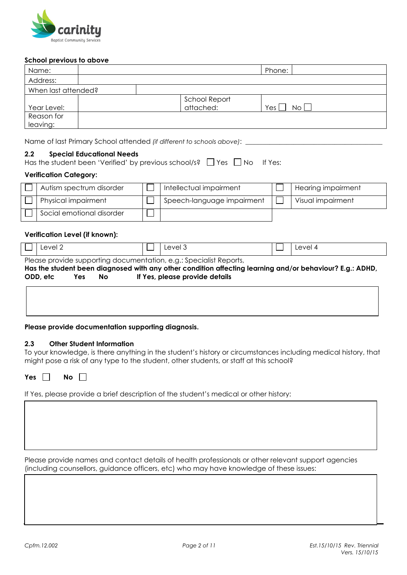

#### School previous to above

| Name:               |                      | Phone:      |
|---------------------|----------------------|-------------|
| Address:            |                      |             |
| When last attended? |                      |             |
|                     | <b>School Report</b> |             |
| Year Level:         | attached:            | Yes<br>No I |
| Reason for          |                      |             |
| leaving:            |                      |             |

Name of last Primary School attended (if different to schools above):

#### 2.2 Special Educational Needs

| Has the student been 'Verified' by previous school/s? $\Box$ Yes $\Box$ No If Yes: |  |  |  |  |
|------------------------------------------------------------------------------------|--|--|--|--|
|------------------------------------------------------------------------------------|--|--|--|--|

#### Verification Category:

| Autism spectrum disorder  | Intellectual impairment    | Hearing impairment |
|---------------------------|----------------------------|--------------------|
| Physical impairment       | Speech-language impairment | Visual impairment  |
| Social emotional disorder |                            |                    |

#### Verification Level (if known):

|                                                                                                          | Level 2                                                            |    |  | Level 3                        |  | Level 4 |  |  |  |
|----------------------------------------------------------------------------------------------------------|--------------------------------------------------------------------|----|--|--------------------------------|--|---------|--|--|--|
|                                                                                                          | Please provide supporting documentation, e.g.: Specialist Reports, |    |  |                                |  |         |  |  |  |
| Has the student been diagnosed with any other condition affecting learning and/or behaviour? E.g.: ADHD, |                                                                    |    |  |                                |  |         |  |  |  |
| ODD, etc                                                                                                 | Yes                                                                | No |  | If Yes, please provide details |  |         |  |  |  |

Please provide documentation supporting diagnosis.

#### 2.3 Other Student Information

To your knowledge, is there anything in the student's history or circumstances including medical history, that might pose a risk of any type to the student, other students, or staff at this school?

Yes  $\Box$  No  $\Box$ 

If Yes, please provide a brief description of the student's medical or other history:

Please provide names and contact details of health professionals or other relevant support agencies (including counsellors, guidance officers, etc) who may have knowledge of these issues: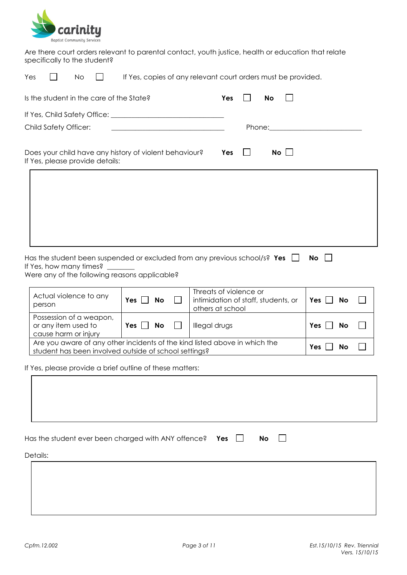

Are there court orders relevant to parental contact, youth justice, health or education that relate specifically to the student?

| If Yes, copies of any relevant court orders must be provided.<br>Yes<br>No                                                                             |                              |                                                         |           |             |                                                                                                                                                                                                                                |  |  |  |
|--------------------------------------------------------------------------------------------------------------------------------------------------------|------------------------------|---------------------------------------------------------|-----------|-------------|--------------------------------------------------------------------------------------------------------------------------------------------------------------------------------------------------------------------------------|--|--|--|
| Is the student in the care of the State?                                                                                                               |                              | Yes                                                     | <b>No</b> |             |                                                                                                                                                                                                                                |  |  |  |
|                                                                                                                                                        |                              |                                                         |           |             |                                                                                                                                                                                                                                |  |  |  |
| <b>Child Safety Officer:</b>                                                                                                                           |                              |                                                         |           |             | Phone: the contract of the contract of the contract of the contract of the contract of the contract of the contract of the contract of the contract of the contract of the contract of the contract of the contract of the con |  |  |  |
| Does your child have any history of violent behaviour?<br>If Yes, please provide details:                                                              |                              | Yes                                                     |           | $No$ $\Box$ |                                                                                                                                                                                                                                |  |  |  |
|                                                                                                                                                        |                              |                                                         |           |             |                                                                                                                                                                                                                                |  |  |  |
|                                                                                                                                                        |                              |                                                         |           |             |                                                                                                                                                                                                                                |  |  |  |
|                                                                                                                                                        |                              |                                                         |           |             |                                                                                                                                                                                                                                |  |  |  |
|                                                                                                                                                        |                              |                                                         |           |             |                                                                                                                                                                                                                                |  |  |  |
| Has the student been suspended or excluded from any previous school/s? Yes<br>If Yes, how many times?<br>Were any of the following reasons applicable? |                              |                                                         |           |             | <b>No</b>                                                                                                                                                                                                                      |  |  |  |
|                                                                                                                                                        |                              | Threats of violence or                                  |           |             |                                                                                                                                                                                                                                |  |  |  |
| Actual violence to any<br>person                                                                                                                       | <b>No</b><br>$Yes \mid \mid$ | intimidation of staff, students, or<br>others at school |           |             | Yes $ $<br><b>No</b>                                                                                                                                                                                                           |  |  |  |
| Possession of a weapon,<br>or any item used to<br>cause harm or injury                                                                                 | Yes $\mathsf{\Gamma}$<br>No  | Illegal drugs                                           |           |             | Yes<br>No                                                                                                                                                                                                                      |  |  |  |

If Yes, please provide a brief outline of these matters:

Are you aware of any other incidents of the kind listed above in which the

| Has the student ever been charged with ANY offence? Yes $\Box$<br>Details: | No<br>$\Box$ |  |
|----------------------------------------------------------------------------|--------------|--|
|                                                                            |              |  |

Are you aware of any other incluents of the kind isted above in which the  $\gamma$   $\gamma$ es  $\Box$  No student has been involved outside of school settings?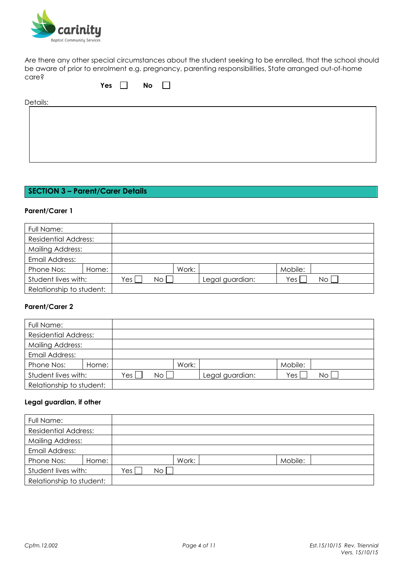

Are there any other special circumstances about the student seeking to be enrolled, that the school should be aware of prior to enrolment e.g. pregnancy, parenting responsibilities, State arranged out-of-home care?

| Y A C | NΩ |  |
|-------|----|--|
|       |    |  |

Details:

# SECTION 3 – Parent/Carer Details

#### Parent/Carer 1

| Full Name:                  |       |     |    |       |                 |         |    |
|-----------------------------|-------|-----|----|-------|-----------------|---------|----|
| <b>Residential Address:</b> |       |     |    |       |                 |         |    |
| <b>Mailing Address:</b>     |       |     |    |       |                 |         |    |
| Email Address:              |       |     |    |       |                 |         |    |
| Phone Nos:                  | Home: |     |    | Work: |                 | Mobile: |    |
| Student lives with:         |       | Yes | No |       | Legal guardian: | Yes     | No |
| Relationship to student:    |       |     |    |       |                 |         |    |

#### Parent/Carer 2

| Full Name:                  |       |                  |    |       |                 |         |    |  |
|-----------------------------|-------|------------------|----|-------|-----------------|---------|----|--|
| <b>Residential Address:</b> |       |                  |    |       |                 |         |    |  |
| <b>Mailing Address:</b>     |       |                  |    |       |                 |         |    |  |
| Email Address:              |       |                  |    |       |                 |         |    |  |
| Phone Nos:                  | Home: |                  |    | Work: |                 | Mobile: |    |  |
| Student lives with:         |       | Yes <sub>1</sub> | No |       | Legal guardian: | Yes     | No |  |
| Relationship to student:    |       |                  |    |       |                 |         |    |  |

## Legal guardian, if other

| Full Name:                  |       |     |       |  |         |  |
|-----------------------------|-------|-----|-------|--|---------|--|
| <b>Residential Address:</b> |       |     |       |  |         |  |
| <b>Mailing Address:</b>     |       |     |       |  |         |  |
| Email Address:              |       |     |       |  |         |  |
| Phone Nos:                  | Home: |     | Work: |  | Mobile: |  |
| Student lives with:         |       | Yes | No.   |  |         |  |
| Relationship to student:    |       |     |       |  |         |  |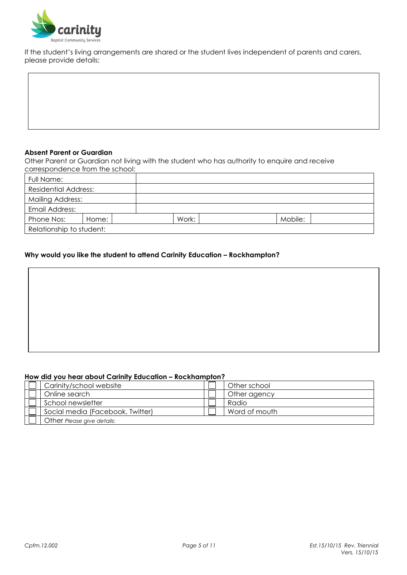

If the student's living arrangements are shared or the student lives independent of parents and carers, please provide details:

#### Absent Parent or Guardian

Other Parent or Guardian not living with the student who has authority to enquire and receive correspondence from the school:

| Full Name:                  |  |  |       |         |  |  |
|-----------------------------|--|--|-------|---------|--|--|
| <b>Residential Address:</b> |  |  |       |         |  |  |
| Mailing Address:            |  |  |       |         |  |  |
| Email Address:              |  |  |       |         |  |  |
| Phone Nos:<br>Home:         |  |  | Work: | Mobile: |  |  |
| Relationship to student:    |  |  |       |         |  |  |

#### Why would you like the student to attend Carinity Education – Rockhampton?

## How did you hear about Carinity Education – Rockhampton?

| Carinity/school website          | Other school  |
|----------------------------------|---------------|
| Online search                    | Other agency  |
| School newsletter                | Radio         |
| Social media (Facebook, Twitter) | Word of mouth |
| Other Please give details:       |               |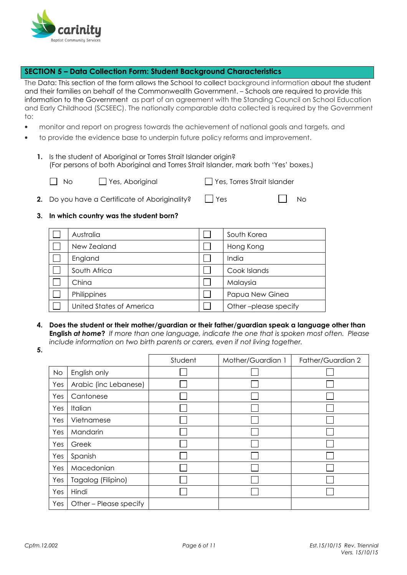

## SECTION 5 – Data Collection Form: Student Background Characteristics

The Data: This section of the form allows the School to collect background information about the student and their families on behalf of the Commonwealth Government. – Schools are required to provide this information to the Government as part of an agreement with the Standing Council on School Education and Early Childhood (SCSEEC). The nationally comparable data collected is required by the Government to:

- monitor and report on progress towards the achievement of national goals and targets, and
- to provide the evidence base to underpin future policy reforms and improvement.
	- 1. Is the student of Aboriginal or Torres Strait Islander origin? (For persons of both Aboriginal and Torres Strait Islander, mark both 'Yes' boxes.)
		-

No Pres, Aboriginal Pres, Torres Strait Islander

**2.** Do you have a Certificate of Aboriginality?  $\Box$  Yes  $\Box$  No

#### 3. In which country was the student born?

| Australia                | South Korea          |
|--------------------------|----------------------|
| New Zealand              | Hong Kong            |
| England                  | India                |
| South Africa             | Cook Islands         |
| China                    | Malaysia             |
| Philippines              | Papua New Ginea      |
| United States of America | Other-please specify |

- 4. Does the student or their mother/guardian or their father/guardian speak a language other than **English at home?** If more than one language, indicate the one that is spoken most often. Please include information on two birth parents or carers, even if not living together.
- 5.

|     |                        | Student | Mother/Guardian 1 | Father/Guardian 2 |
|-----|------------------------|---------|-------------------|-------------------|
| No  | English only           |         |                   |                   |
| Yes | Arabic (inc Lebanese)  |         |                   |                   |
| Yes | Cantonese              |         |                   |                   |
| Yes | Italian                |         |                   |                   |
| Yes | Vietnamese             |         |                   |                   |
| Yes | Mandarin               |         |                   |                   |
| Yes | Greek                  |         |                   |                   |
| Yes | Spanish                |         |                   |                   |
| Yes | Macedonian             |         |                   |                   |
| Yes | Tagalog (Filipino)     |         |                   |                   |
| Yes | Hindi                  |         |                   |                   |
| Yes | Other – Please specify |         |                   |                   |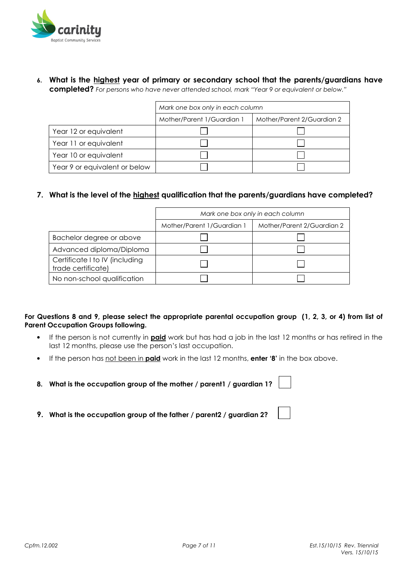

6. What is the highest year of primary or secondary school that the parents/guardians have completed? For persons who have never attended school, mark "Year 9 or equivalent or below."

|                               | Mark one box only in each column |                            |  |  |
|-------------------------------|----------------------------------|----------------------------|--|--|
|                               | Mother/Parent 1/Guardian 1       | Mother/Parent 2/Guardian 2 |  |  |
| Year 12 or equivalent         |                                  |                            |  |  |
| Year 11 or equivalent         |                                  |                            |  |  |
| Year 10 or equivalent         |                                  |                            |  |  |
| Year 9 or equivalent or below |                                  |                            |  |  |

## 7. What is the level of the highest qualification that the parents/guardians have completed?

|                                                      | Mark one box only in each column |                            |  |  |  |
|------------------------------------------------------|----------------------------------|----------------------------|--|--|--|
|                                                      | Mother/Parent 1/Guardian 1       | Mother/Parent 2/Guardian 2 |  |  |  |
| Bachelor degree or above                             |                                  |                            |  |  |  |
| Advanced diploma/Diploma                             |                                  |                            |  |  |  |
| Certificate I to IV (including<br>trade certificate) |                                  |                            |  |  |  |
| No non-school qualification                          |                                  |                            |  |  |  |

## For Questions 8 and 9, please select the appropriate parental occupation group (1, 2, 3, or 4) from list of Parent Occupation Groups following.

- If the person is not currently in **paid** work but has had a job in the last 12 months or has retired in the last 12 months, please use the person's last occupation.
- If the person has not been in **paid** work in the last 12 months, enter '8' in the box above.
- 8. What is the occupation group of the mother / parent1 / guardian 1?
- 9. What is the occupation group of the father / parent2 / guardian 2?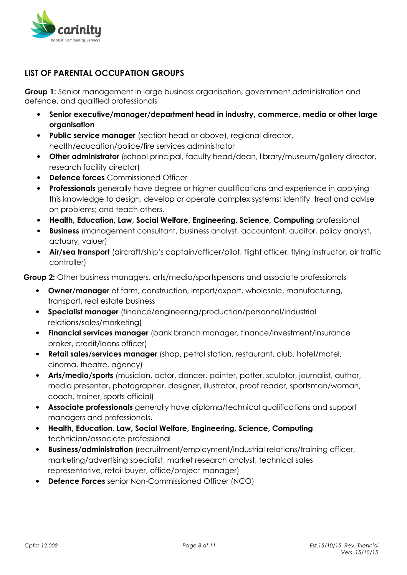

# LIST OF PARENTAL OCCUPATION GROUPS

**Group 1:** Senior management in large business organisation, government administration and defence, and qualified professionals

- Senior executive/manager/department head in industry, commerce, media or other large organisation
- Public service manager (section head or above), regional director, health/education/police/fire services administrator
- Other administrator (school principal, faculty head/dean, library/museum/gallery director, research facility director)
- **Defence forces** Commissioned Officer
- Professionals generally have degree or higher qualifications and experience in applying this knowledge to design, develop or operate complex systems; identify, treat and advise on problems; and teach others.
- Health, Education, Law, Social Welfare, Engineering, Science, Computing professional
- Business (management consultant, business analyst, accountant, auditor, policy analyst, actuary, valuer)
- Air/sea transport (aircraft/ship's captain/officer/pilot, fliaht officer, flying instructor, air traffic controller)

Group 2: Other business managers, arts/media/sportspersons and associate professionals

- Owner/manager of farm, construction, import/export, wholesale, manufacturing, transport, real estate business
- Specialist manager (finance/engineering/production/personnel/industrial relations/sales/marketing)
- Financial services manager (bank branch manager, finance/investment/insurance broker, credit/loans officer)
- Retail sales/services manager (shop, petrol station, restaurant, club, hotel/motel, cinema, theatre, agency)
- Arts/media/sports (musician, actor, dancer, painter, potter, sculptor, journalist, author, media presenter, photographer, designer, illustrator, proof reader, sportsman/woman, coach, trainer, sports official)
- Associate professionals generally have diploma/technical qualifications and support managers and professionals.
- Health, Education, Law, Social Welfare, Engineering, Science, Computing technician/associate professional
- **Business/administration** (recruitment/employment/industrial relations/training officer, marketing/advertising specialist, market research analyst, technical sales representative, retail buyer, office/project manager)
- **Defence Forces** senior Non-Commissioned Officer (NCO)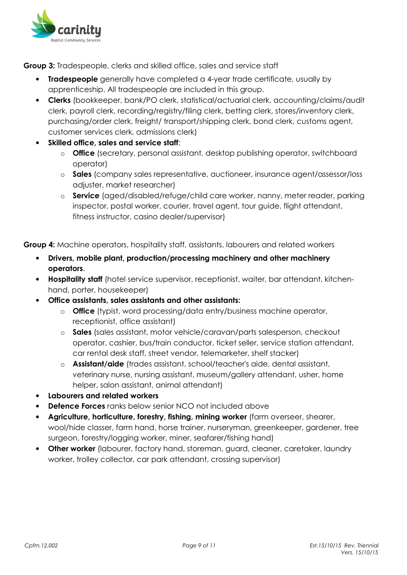

**Group 3:** Tradespeople, clerks and skilled office, sales and service staff

- Tradespeople generally have completed a 4-year trade certificate, usually by apprenticeship. All tradespeople are included in this group.
- Clerks (bookkeeper, bank/PO clerk, statistical/actuarial clerk, accounting/claims/audit clerk, payroll clerk, recording/registry/filing clerk, betting clerk, stores/inventory clerk, purchasing/order clerk, freight/ transport/shipping clerk, bond clerk, customs agent, customer services clerk, admissions clerk)
- Skilled office, sales and service staff:
	- o Office (secretary, personal assistant, desktop publishing operator, switchboard operator)
	- o Sales (company sales representative, auctioneer, insurance agent/assessor/loss adjuster, market researcher)
	- o Service (aged/disabled/refuge/child care worker, nanny, meter reader, parking inspector, postal worker, courier, travel agent, tour guide, flight attendant, fitness instructor, casino dealer/supervisor)

**Group 4:** Machine operators, hospitality staff, assistants, labourers and related workers

- Drivers, mobile plant, production/processing machinery and other machinery operators.
- Hospitality staff (hotel service supervisor, receptionist, waiter, bar attendant, kitchenhand, porter, housekeeper)
- Office assistants, sales assistants and other assistants:
	- o **Office** (typist, word processing/data entry/business machine operator, receptionist, office assistant)
	- o Sales (sales assistant, motor vehicle/caravan/parts salesperson, checkout operator, cashier, bus/train conductor, ticket seller, service station attendant, car rental desk staff, street vendor, telemarketer, shelf stacker)
	- o Assistant/aide (trades assistant, school/teacher's aide, dental assistant, veterinary nurse, nursing assistant, museum/gallery attendant, usher, home helper, salon assistant, animal attendant)
- Labourers and related workers
- **Defence Forces** ranks below senior NCO not included above
- Agriculture, horticulture, forestry, fishing, mining worker (farm overseer, shearer, wool/hide classer, farm hand, horse trainer, nurseryman, greenkeeper, gardener, tree surgeon, forestry/logging worker, miner, seafarer/fishing hand)
- Other worker (labourer, factory hand, storeman, guard, cleaner, caretaker, laundry worker, trolley collector, car park attendant, crossing supervisor)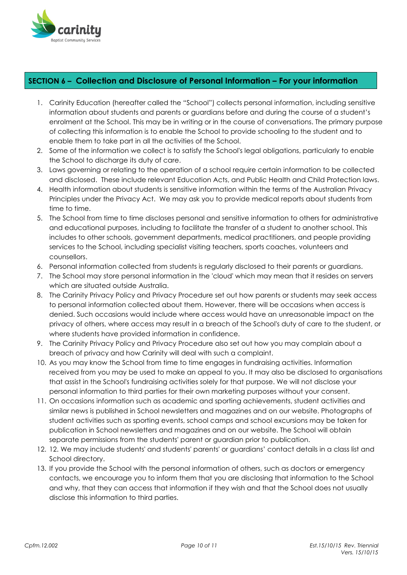

## SECTION 6 – Collection and Disclosure of Personal Information – For your information

- 1. Carinity Education (hereafter called the "School") collects personal information, including sensitive information about students and parents or guardians before and during the course of a student's enrolment at the School. This may be in writing or in the course of conversations. The primary purpose of collecting this information is to enable the School to provide schooling to the student and to enable them to take part in all the activities of the School.
- 2. Some of the information we collect is to satisfy the School's legal obligations, particularly to enable the School to discharge its duty of care.
- 3. Laws governing or relating to the operation of a school require certain information to be collected and disclosed. These include relevant Education Acts, and Public Health and Child Protection laws.
- 4. Health information about students is sensitive information within the terms of the Australian Privacy Principles under the Privacy Act. We may ask you to provide medical reports about students from time to time.
- 5. The School from time to time discloses personal and sensitive information to others for administrative and educational purposes, including to facilitate the transfer of a student to another school. This includes to other schools, government departments, medical practitioners, and people providing services to the School, including specialist visiting teachers, sports coaches, volunteers and counsellors.
- 6. Personal information collected from students is regularly disclosed to their parents or guardians.
- 7. The School may store personal information in the 'cloud' which may mean that it resides on servers which are situated outside Australia.
- 8. The Carinity Privacy Policy and Privacy Procedure set out how parents or students may seek access to personal information collected about them. However, there will be occasions when access is denied. Such occasions would include where access would have an unreasonable impact on the privacy of others, where access may result in a breach of the School's duty of care to the student, or where students have provided information in confidence.
- 9. The Carinity Privacy Policy and Privacy Procedure also set out how you may complain about a breach of privacy and how Carinity will deal with such a complaint.
- 10. As you may know the School from time to time engages in fundraising activities. Information received from you may be used to make an appeal to you. It may also be disclosed to organisations that assist in the School's fundraising activities solely for that purpose. We will not disclose your personal information to third parties for their own marketing purposes without your consent.
- 11. On occasions information such as academic and sporting achievements, student activities and similar news is published in School newsletters and magazines and on our website. Photographs of student activities such as sporting events, school camps and school excursions may be taken for publication in School newsletters and magazines and on our website. The School will obtain separate permissions from the students' parent or guardian prior to publication.
- 12. 12. We may include students' and students' parents' or guardians' contact details in a class list and School directory.
- 13. If you provide the School with the personal information of others, such as doctors or emergency contacts, we encourage you to inform them that you are disclosing that information to the School and why, that they can access that information if they wish and that the School does not usually disclose this information to third parties.